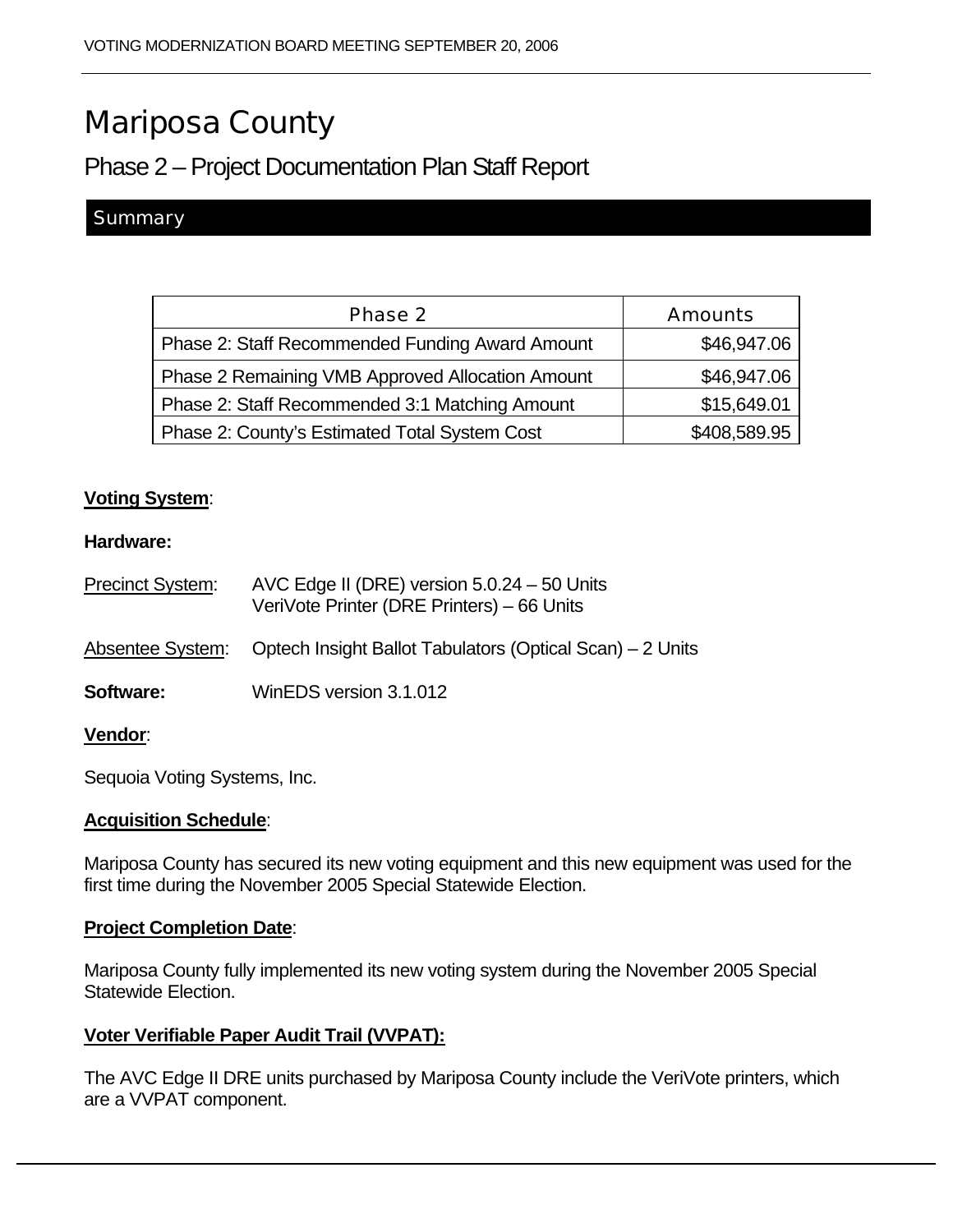# Mariposa County

# Phase 2 – Project Documentation Plan Staff Report

### **Summary**

| Phase 2                                          | <b>Amounts</b> |
|--------------------------------------------------|----------------|
| Phase 2: Staff Recommended Funding Award Amount  | \$46,947.06    |
| Phase 2 Remaining VMB Approved Allocation Amount | \$46,947.06    |
| Phase 2: Staff Recommended 3:1 Matching Amount   | \$15,649.01    |
| Phase 2: County's Estimated Total System Cost    | \$408,589.95   |

#### **Voting System**:

#### **Hardware:**

| Precinct System: | AVC Edge II (DRE) version $5.0.24 - 50$ Units<br>VeriVote Printer (DRE Printers) – 66 Units |
|------------------|---------------------------------------------------------------------------------------------|
|                  | Absentee System: Optech Insight Ballot Tabulators (Optical Scan) – 2 Units                  |
| <b>Software:</b> | WinEDS version 3.1.012                                                                      |
| <b>Vendor</b> :  |                                                                                             |

Sequoia Voting Systems, Inc.

#### **Acquisition Schedule**:

Mariposa County has secured its new voting equipment and this new equipment was used for the first time during the November 2005 Special Statewide Election.

#### **Project Completion Date**:

Mariposa County fully implemented its new voting system during the November 2005 Special Statewide Election.

#### **Voter Verifiable Paper Audit Trail (VVPAT):**

The AVC Edge II DRE units purchased by Mariposa County include the VeriVote printers, which are a VVPAT component.